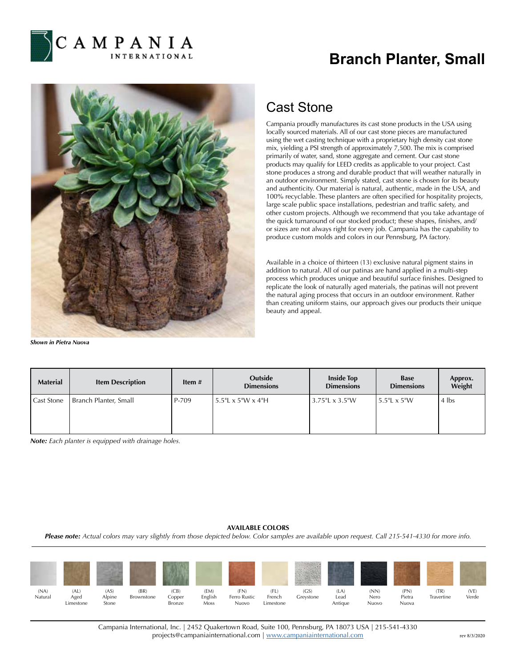

## **Branch Planter, Small**



*Shown in Pietra Nuova*

## Cast Stone

Campania proudly manufactures its cast stone products in the USA using locally sourced materials. All of our cast stone pieces are manufactured using the wet casting technique with a proprietary high density cast stone mix, yielding a PSI strength of approximately 7,500. The mix is comprised primarily of water, sand, stone aggregate and cement. Our cast stone products may qualify for LEED credits as applicable to your project. Cast stone produces a strong and durable product that will weather naturally in an outdoor environment. Simply stated, cast stone is chosen for its beauty and authenticity. Our material is natural, authentic, made in the USA, and 100% recyclable. These planters are often specified for hospitality projects, large scale public space installations, pedestrian and traffic safety, and other custom projects. Although we recommend that you take advantage of the quick turnaround of our stocked product; these shapes, finishes, and/ or sizes are not always right for every job. Campania has the capability to produce custom molds and colors in our Pennsburg, PA factory.

Available in a choice of thirteen (13) exclusive natural pigment stains in addition to natural. All of our patinas are hand applied in a multi-step process which produces unique and beautiful surface finishes. Designed to replicate the look of naturally aged materials, the patinas will not prevent the natural aging process that occurs in an outdoor environment. Rather than creating uniform stains, our approach gives our products their unique beauty and appeal.

| <b>Material</b>   | <b>Item Description</b> | Item $#$ | Outside<br><b>Dimensions</b> | <b>Inside Top</b><br><b>Dimensions</b> | <b>Base</b><br><b>Dimensions</b> | Approx.<br>Weight |
|-------------------|-------------------------|----------|------------------------------|----------------------------------------|----------------------------------|-------------------|
| <b>Cast Stone</b> | Branch Planter, Small   | P-709    | 5.5"L x 5"W x 4"H            | 3.75"L $\times$ 3.5"W                  | 5.5"L x 5"W                      | $4$ lbs           |

*Note: Each planter is equipped with drainage holes.*

## **AVAILABLE COLORS**

*Please note: Actual colors may vary slightly from those depicted below. Color samples are available upon request. Call 215-541-4330 for more info.*